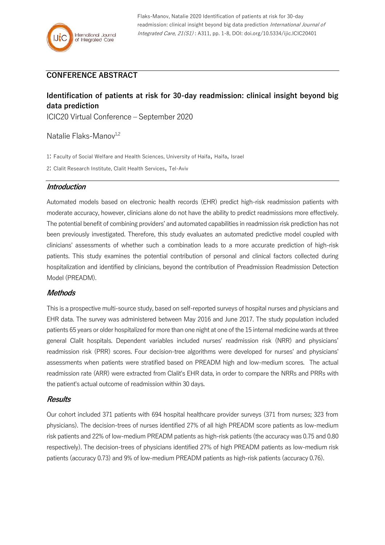## **CONFERENCE ABSTRACT**

# **Identification of patients at risk for 30-day readmission: clinical insight beyond big data prediction**

ICIC20 Virtual Conference – September 2020

Natalie Flaks-Manov $1,2$ 

1: Faculty of Social Welfare and Health Sciences, University of Haifa, Haifa, Israel

2: Clalit Research Institute, Clalit Health Services, Tel-Aviv

### **Introduction**

Automated models based on electronic health records (EHR) predict high-risk readmission patients with moderate accuracy, however, clinicians alone do not have the ability to predict readmissions more effectively. The potential benefit of combining providers' and automated capabilities in readmission risk prediction has not been previously investigated. Therefore, this study evaluates an automated predictive model coupled with clinicians' assessments of whether such a combination leads to a more accurate prediction of high-risk patients. This study examines the potential contribution of personal and clinical factors collected during hospitalization and identified by clinicians, beyond the contribution of Preadmission Readmission Detection Model (PREADM).

## **Methods**

This is a prospective multi-source study, based on self-reported surveys of hospital nurses and physicians and EHR data. The survey was administered between May 2016 and June 2017. The study population included patients 65 years or older hospitalized for more than one night at one of the 15 internal medicine wards at three general Clalit hospitals. Dependent variables included nurses' readmission risk (NRR) and physicians' readmission risk (PRR) scores. Four decision-tree algorithms were developed for nurses' and physicians' assessments when patients were stratified based on PREADM high and low-medium scores. The actual readmission rate (ARR) were extracted from Clalit's EHR data, in order to compare the NRRs and PRRs with the patient's actual outcome of readmission within 30 days.

## **Results**

Our cohort included 371 patients with 694 hospital healthcare provider surveys (371 from nurses; 323 from physicians). The decision-trees of nurses identified 27% of all high PREADM score patients as low-medium risk patients and 22% of low-medium PREADM patients as high-risk patients (the accuracy was 0.75 and 0.80 respectively). The decision-trees of physicians identified 27% of high PREADM patients as low-medium risk patients (accuracy 0.73) and 9% of low-medium PREADM patients as high-risk patients (accuracy 0.76).